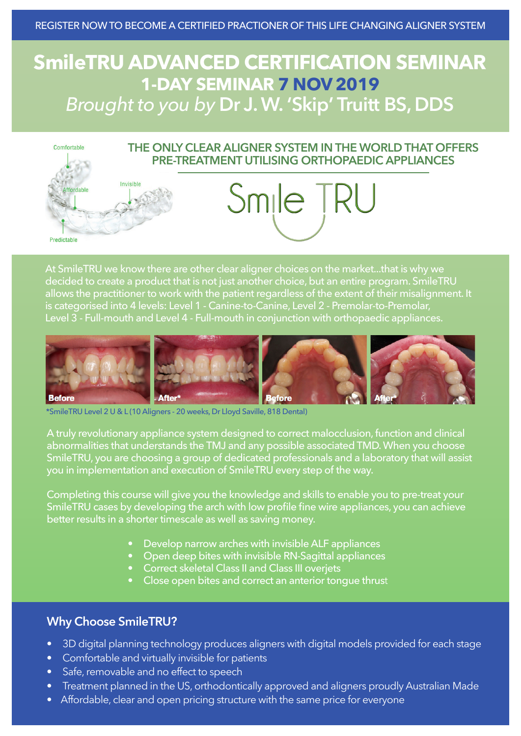# **SmileTRU ADVANCED CERTIFICATION SEMINAR 1-DAY SEMINAR 7 NOV 2019** *Brought to you by* **Dr J. W. 'Skip' Truitt BS, DDS**



At SmileTRU we know there are other clear aligner choices on the market...that is why we decided to create a product that is not just another choice, but an entire program. SmileTRU allows the practitioner to work with the patient regardless of the extent of their misalignment. It is categorised into 4 levels: Level 1 - Canine-to-Canine, Level 2 - Premolar-to-Premolar, Level 3 - Full-mouth and Level 4 - Full-mouth in conjunction with orthopaedic appliances.



\*SmileTRU Level 2 U & L (10 Aligners - 20 weeks, Dr Lloyd Saville, 818 Dental)

A truly revolutionary appliance system designed to correct malocclusion, function and clinical abnormalities that understands the TMJ and any possible associated TMD. When you choose SmileTRU, you are choosing a group of dedicated professionals and a laboratory that will assist you in implementation and execution of SmileTRU every step of the way.

Completing this course will give you the knowledge and skills to enable you to pre-treat your SmileTRU cases by developing the arch with low profile fine wire appliances, you can achieve better results in a shorter timescale as well as saving money.

- Develop narrow arches with invisible ALF appliances
- Open deep bites with invisible RN-Sagittal appliances
- Correct skeletal Class II and Class III overjets
- Close open bites and correct an anterior tongue thrust

## **Why Choose SmileTRU?**

- 3D digital planning technology produces aligners with digital models provided for each stage
- Comfortable and virtually invisible for patients
- Safe, removable and no effect to speech
- Treatment planned in the US, orthodontically approved and aligners proudly Australian Made
- Affordable, clear and open pricing structure with the same price for everyone